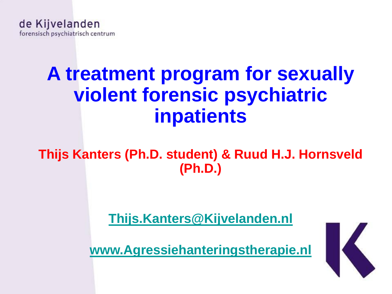# **A treatment program for sexually violent forensic psychiatric inpatients**

#### **Thijs Kanters (Ph.D. student) & Ruud H.J. Hornsveld (Ph.D.)**

**[Thijs.Kanters@Kijvelanden.nl](mailto:Thijs.Kanters@Kijvelanden.nl)**

**[www.Agressiehanteringstherapie.nl](http://www.agressiehanteringstherapie.nl/)**

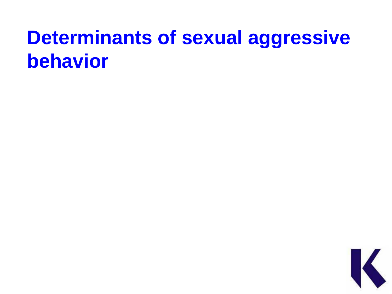# **Determinants of sexual aggressive behavior**

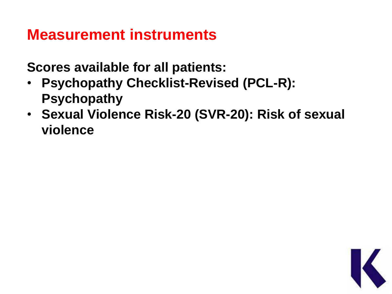#### **Measurement instruments**

**Scores available for all patients:**

- **Psychopathy Checklist-Revised (PCL-R): Psychopathy**
- **Sexual Violence Risk-20 (SVR-20): Risk of sexual violence**

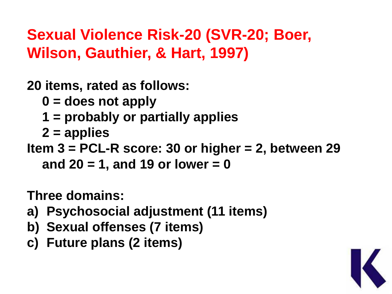### **Sexual Violence Risk-20 (SVR-20; Boer, Wilson, Gauthier, & Hart, 1997)**

**20 items, rated as follows:** 

**0 = does not apply** 

- **1 = probably or partially applies**
- **2 = applies**

**Item 3 = PCL-R score: 30 or higher = 2, between 29 and 20 = 1, and 19 or lower = 0**

**Three domains:**

- **a) Psychosocial adjustment (11 items)**
- **b) Sexual offenses (7 items)**
- **c) Future plans (2 items)**

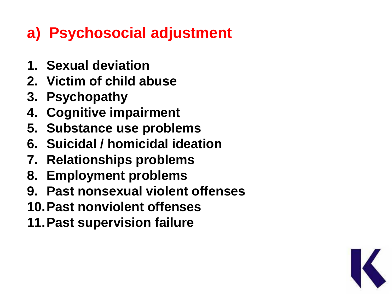### **a) Psychosocial adjustment**

- **1. Sexual deviation**
- **2. Victim of child abuse**
- **3. Psychopathy**
- **4. Cognitive impairment**
- **5. Substance use problems**
- **6. Suicidal / homicidal ideation**
- **7. Relationships problems**
- **8. Employment problems**
- **9. Past nonsexual violent offenses**
- **10.Past nonviolent offenses**
- **11.Past supervision failure**

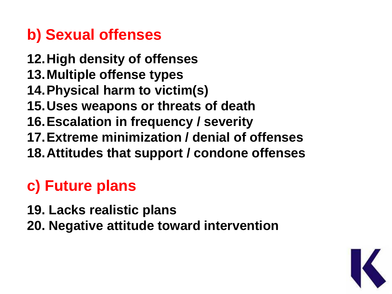### **b) Sexual offenses**

- **12.High density of offenses**
- **13.Multiple offense types**
- **14.Physical harm to victim(s)**
- **15.Uses weapons or threats of death**
- **16.Escalation in frequency / severity**
- **17.Extreme minimization / denial of offenses**
- **18.Attitudes that support / condone offenses**

## **c) Future plans**

- **19. Lacks realistic plans**
- **20. Negative attitude toward intervention**

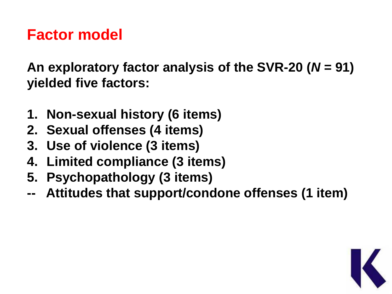#### **Factor model**

**An exploratory factor analysis of the SVR-20 (***N* **= 91) yielded five factors:**

- **1. Non-sexual history (6 items)**
- **2. Sexual offenses (4 items)**
- **3. Use of violence (3 items)**
- **4. Limited compliance (3 items)**
- **5. Psychopathology (3 items)**
- **-- Attitudes that support/condone offenses (1 item)**

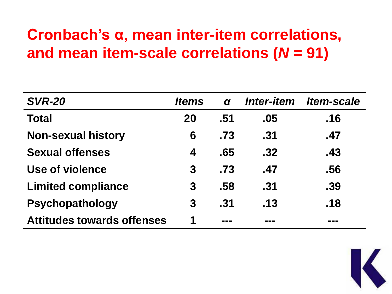### **Cronbach's α, mean inter-item correlations, and mean item-scale correlations (***N* **= 91)**

| <b>SVR-20</b>                     | ltems | $\alpha$ | <b>Inter-item</b> | <i><b>Item-scale</b></i> |
|-----------------------------------|-------|----------|-------------------|--------------------------|
| <b>Total</b>                      | 20    | .51      | .05               | .16                      |
| <b>Non-sexual history</b>         | 6     | .73      | .31               | .47                      |
| <b>Sexual offenses</b>            | 4     | .65      | .32               | .43                      |
| Use of violence                   | 3     | .73      | .47               | .56                      |
| <b>Limited compliance</b>         | 3     | .58      | .31               | .39                      |
| <b>Psychopathology</b>            | 3     | .31      | .13               | .18                      |
| <b>Attitudes towards offenses</b> | 1     | ---      |                   |                          |

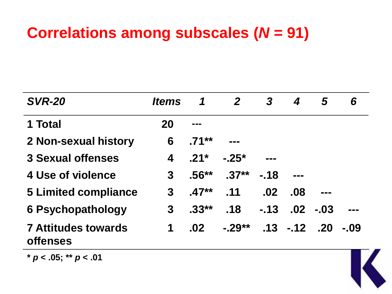### **Correlations among subscales (***N* **= 91)**

| <b>SVR-20</b>                                 | <i><b>Items</b></i> | 1                           | $\mathbf{2}$     | $\boldsymbol{3}$ | 4               | 5      | 6      |  |
|-----------------------------------------------|---------------------|-----------------------------|------------------|------------------|-----------------|--------|--------|--|
| 1 Total                                       | <b>20</b>           | ---                         |                  |                  |                 |        |        |  |
| 2 Non-sexual history                          | 6                   | $-71***$                    | <b>CONTINUES</b> |                  |                 |        |        |  |
| <b>3 Sexual offenses</b>                      | 4                   | $-21*$                      | $-25*$           | <b>BOOK</b>      |                 |        |        |  |
| 4 Use of violence                             | $\mathbf{3}$        | $.56***$                    | $.37**$          | $-18$            |                 |        |        |  |
| <b>5 Limited compliance</b>                   | 3                   | $.47**$                     | .11              | .02              | .08             |        |        |  |
| <b>6 Psychopathology</b>                      | 3                   | $.33**$                     | .18              | $-13$            | $.02 \,$        | $-.03$ |        |  |
| <b>7 Attitudes towards</b><br><b>offenses</b> | 1                   | $.02\phantom{0}\phantom{0}$ | $-29**$          |                  | $-13 - 12 - 20$ |        | $-0.9$ |  |

**\*** *p* **< .05; \*\*** *p* **< .01**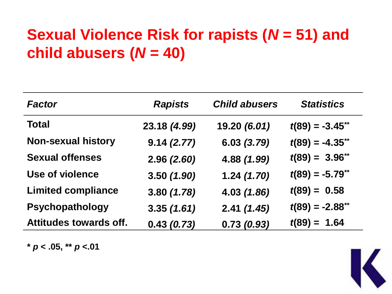### **Sexual Violence Risk for rapists (***N* **= 51) and child abusers (***N* **= 40)**

| <b>Factor</b>                 | <b>Rapists</b> | <b>Child abusers</b> | <b>Statistics</b>   |
|-------------------------------|----------------|----------------------|---------------------|
| <b>Total</b>                  | 23.18 (4.99)   | 19.20 (6.01)         | $t(89) = -3.45$ **  |
| <b>Non-sexual history</b>     | 9.14(2.77)     | 6.03 (3.79)          | $t(89) = -4.35$ **  |
| <b>Sexual offenses</b>        | 2.96(2.60)     | 4.88 (1.99)          | $t(89) = 3.96^{**}$ |
| <b>Use of violence</b>        | 3.50(1.90)     | 1.24(1.70)           | $t(89) = -5.79$ **  |
| <b>Limited compliance</b>     | 3.80(1.78)     | 4.03 (1.86)          | $t(89) = 0.58$      |
| Psychopathology               | 3.35(1.61)     | 2.41(1.45)           | $t(89) = -2.88$ **  |
| <b>Attitudes towards off.</b> | 0.43(0.73)     | 0.73(0.93)           | $t(89) = 1.64$      |

**\*** *p* **< .05, \*\*** *p* **<.01**

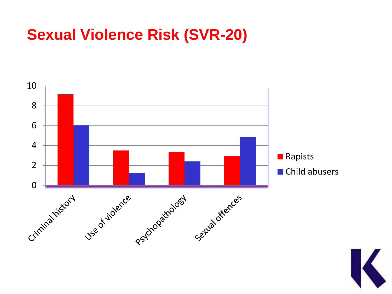#### **Sexual Violence Risk (SVR-20)**



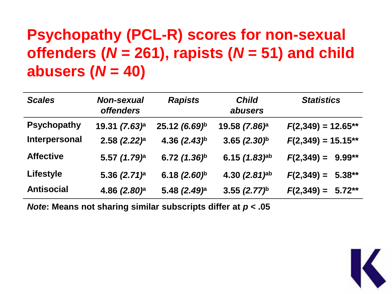### **Psychopathy (PCL-R) scores for non-sexual offenders (***N* **= 261), rapists (***N* **= 51) and child abusers (***N* **= 40)**

| <b>Scales</b>      | <b>Non-sexual</b><br><b>offenders</b> | <b>Rapists</b>           | <b>Child</b><br>abusers     | <b>Statistics</b>     |
|--------------------|---------------------------------------|--------------------------|-----------------------------|-----------------------|
| <b>Psychopathy</b> | 19.31 (7.63) <sup>a</sup>             | 25.12 (6.69)b            | 19.58 (7.86) <sup>a</sup>   | $F(2,349) = 12.65***$ |
| Interpersonal      | $2.58$ $(2.22)^a$                     | 4.36 $(2.43)^{h}$        | $3.65(2.30)^b$              | $F(2,349) = 15.15**$  |
| <b>Affective</b>   | 5.57 (1.79) <sup>a</sup>              | 6.72 $(1.36)^b$          | 6.15 $(1.83)$ ab            | $F(2,349) = 9.99**$   |
| <b>Lifestyle</b>   | 5.36 $(2.71)^a$                       | 6.18 $(2.60)^b$          | 4.30 $(2.81)$ <sup>ab</sup> | $F(2,349) = 5.38***$  |
| <b>Antisocial</b>  | 4.86 $(2.80)^a$                       | 5.48 (2.49) <sup>a</sup> | 3.55 $(2.77)^{h}$           | $F(2,349) = 5.72***$  |

*Note***: Means not sharing similar subscripts differ at** *p* **< .05**

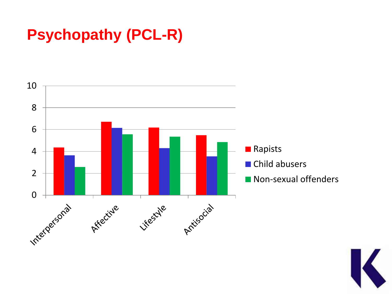### **Psychopathy (PCL-R)**



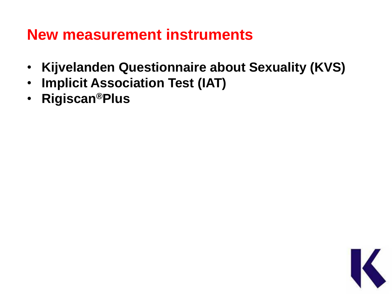#### **New measurement instruments**

- **Kijvelanden Questionnaire about Sexuality (KVS)**
- **Implicit Association Test (IAT)**
- **Rigiscan®Plus**

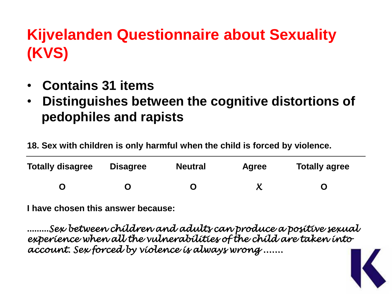## **Kijvelanden Questionnaire about Sexuality (KVS)**

- • **Contains 31 items**
- • **Distinguishes between the cognitive distortions of pedophiles and rapists**

**18. Sex with children is only harmful when the child is forced by violence.**

| <b>Totally disagree</b> | <b>Disagree</b> | <b>Neutral</b> | <b>Agree</b> | <b>Totally agree</b> |
|-------------------------|-----------------|----------------|--------------|----------------------|
|                         |                 |                |              |                      |

**I have chosen this answer because:**

**.........***Sex between children and adults can produce a positive sexual experience when all the vulnerabilities of the child are taken into account. Sex forced by violence is always wrong .......*

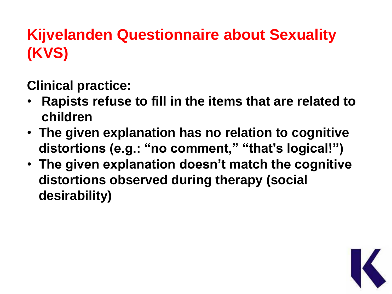## **Kijvelanden Questionnaire about Sexuality (KVS)**

**Clinical practice:**

- **Rapists refuse to fill in the items that are related to children**
- **The given explanation has no relation to cognitive distortions (e.g.: "no comment," "that's logical!")**
- **The given explanation doesn't match the cognitive distortions observed during therapy (social desirability)**

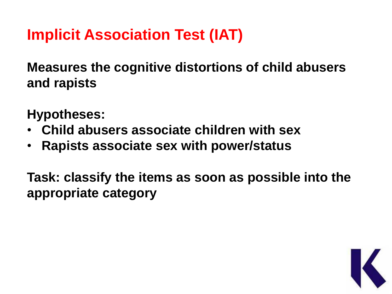**Measures the cognitive distortions of child abusers and rapists**

**Hypotheses:**

- **Child abusers associate children with sex**
- **Rapists associate sex with power/status**

**Task: classify the items as soon as possible into the appropriate category**

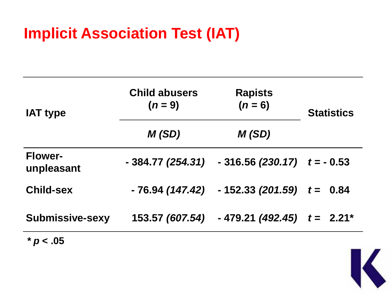| <b>IAT type</b>              | <b>Child abusers</b><br>$(n=9)$ | <b>Rapists</b><br>$(n = 6)$                     | <b>Statistics</b> |  |
|------------------------------|---------------------------------|-------------------------------------------------|-------------------|--|
|                              | M(SD)                           | M(SD)                                           |                   |  |
| <b>Flower-</b><br>unpleasant | - 384.77 (254.31)               | $-316.56$ (230.17) $t = -0.53$                  |                   |  |
| <b>Child-sex</b>             |                                 | $-76.94$ (147.42) $-152.33$ (201.59) $t = 0.84$ |                   |  |
| <b>Submissive-sexy</b>       | 153.57 (607.54)                 | $-479.21(492.45)$ $t = 2.21$ <sup>*</sup>       |                   |  |
| $*$ $\sim$ $\Omega$          |                                 |                                                 |                   |  |



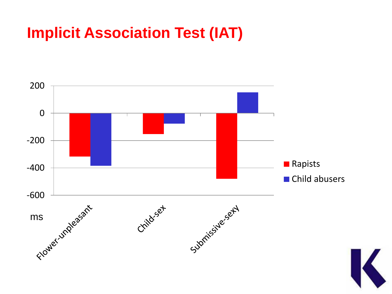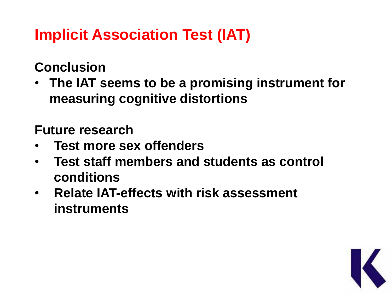#### **Conclusion**

• **The IAT seems to be a promising instrument for measuring cognitive distortions**

**Future research**

- **Test more sex offenders**
- **Test staff members and students as control conditions**
- **Relate IAT-effects with risk assessment instruments**

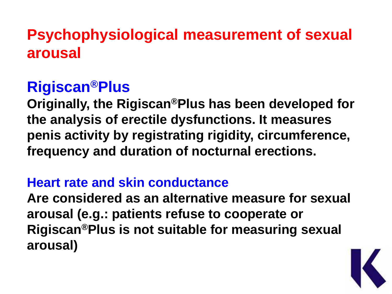#### **Psychophysiological measurement of sexual arousal**

#### **Rigiscan®Plus**

**Originally, the Rigiscan®Plus has been developed for the analysis of erectile dysfunctions. It measures penis activity by registrating rigidity, circumference, frequency and duration of nocturnal erections.**

#### **Heart rate and skin conductance**

**Are considered as an alternative measure for sexual arousal (e.g.: patients refuse to cooperate or Rigiscan®Plus is not suitable for measuring sexual arousal)**

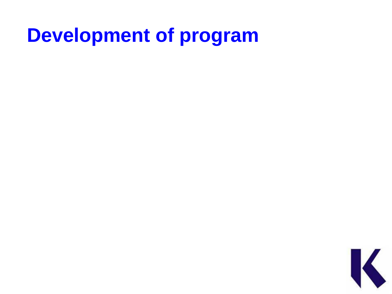# **Development of program**

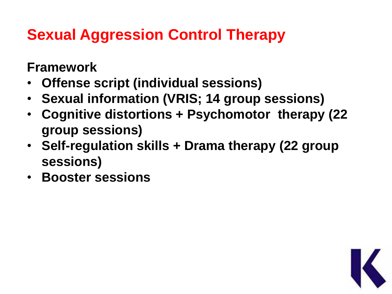## **Sexual Aggression Control Therapy**

**Framework**

- **Offense script (individual sessions)**
- **Sexual information (VRIS; 14 group sessions)**
- **Cognitive distortions + Psychomotor therapy (22 group sessions)**
- **Self-regulation skills + Drama therapy (22 group sessions)**
- **Booster sessions**

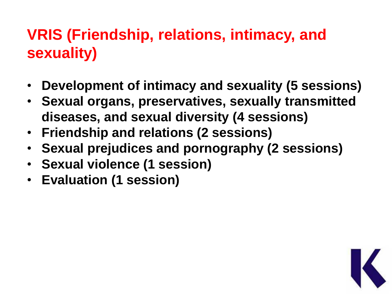### **VRIS (Friendship, relations, intimacy, and sexuality)**

- **Development of intimacy and sexuality (5 sessions)**
- **Sexual organs, preservatives, sexually transmitted diseases, and sexual diversity (4 sessions)**
- **Friendship and relations (2 sessions)**
- **Sexual prejudices and pornography (2 sessions)**
- **Sexual violence (1 session)**
- **Evaluation (1 session)**

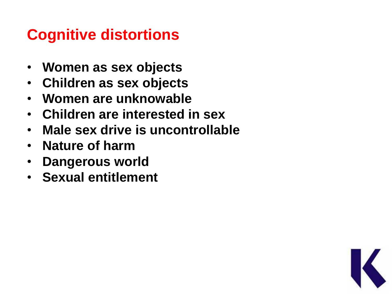## **Cognitive distortions**

- • **Women as sex objects**
- • **Children as sex objects**
- • **Women are unknowable**
- • **Children are interested in sex**
- • **Male sex drive is uncontrollable**
- • **Nature of harm**
- • **Dangerous world**
- • **Sexual entitlement**

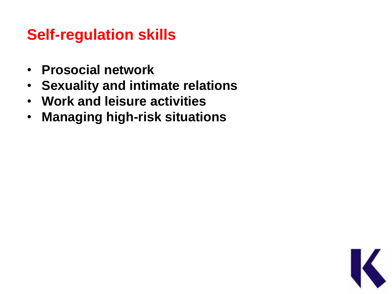#### **Self-regulation skills**

- **Prosocial network**
- **Sexuality and intimate relations**
- **Work and leisure activities**
- **Managing high-risk situations**